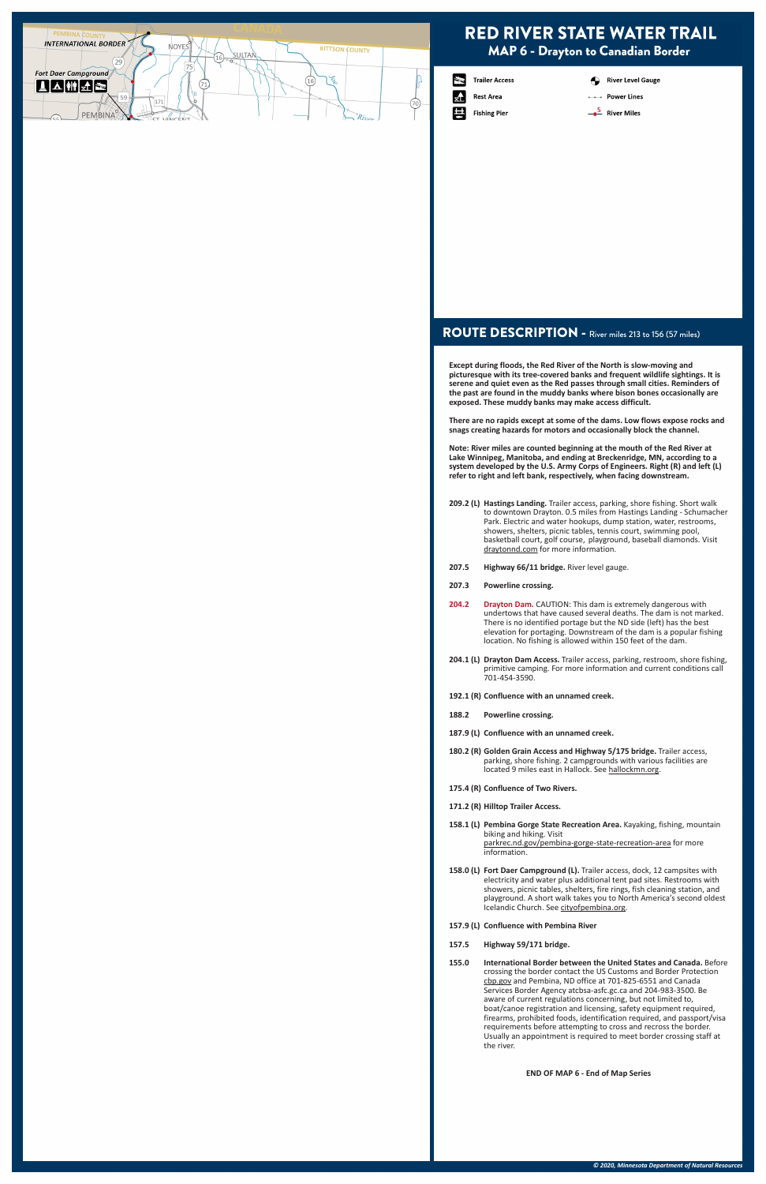### ROUTE DESCRIPTION - River miles 213 to 156 (57 miles)

**Except during floods, the Red River of the North is slow-moving and picturesque with its tree-covered banks and frequent wildlife sightings. It is serene and quiet even as the Red passes through small cities. Reminders of the past are found in the muddy banks where bison bones occasionally are exposed. These muddy banks may make access difficult.** 

**There are no rapids except at some of the dams. Low flows expose rocks and snags creating hazards for motors and occasionally block the channel.**

**Note: River miles are counted beginning at the mouth of the Red River at Lake Winnipeg, Manitoba, and ending at Breckenridge, MN, according to a system developed by the U.S. Army Corps of Engineers. Right (R) and left (L) refer to right and left bank, respectively, when facing downstream.**

**158.0 (L) Fort Daer Campground (L).** Trailer access, dock, 12 campsites with electricity and water plus additional tent pad sites. Restrooms with showers, picnic tables, shelters, fire rings, fish cleaning station, and playground. A short walk takes you to North America's second oldest Icelandic Church. See cityofpembina.org.

- **209.2 (L) Hastings Landing.** Trailer access, parking, shore fishing. Short walk to downtown Drayton. 0.5 miles from Hastings Landing - Schumacher Park. Electric and water hookups, dump station, water, restrooms, showers, shelters, picnic tables, tennis court, swimming pool, basketball court, golf course, playground, baseball diamonds. Visit draytonnd.com for more information.
- **207.5 Highway 66/11 bridge.** River level gauge.
- **207.3 Powerline crossing.**
- 204.2 Drayton Dam. CAUTION: This dam is extremely dangerous with undertows that have caused several deaths. The dam is not marked. There is no identified portage but the ND side (left) has the best elevation for portaging. Downstream of the dam is a popular fishing location. No fishing is allowed within 150 feet of the dam.
- **204.1 (L) Drayton Dam Access.** Trailer access, parking, restroom, shore fishing, primitive camping. For more information and current conditions call 701-454-3590.
- **192.1 (R) Confluence with an unnamed creek.**
- **188.2 Powerline crossing.**
- **187.9 (L) Confluence with an unnamed creek.**
- **180.2 (R) Golden Grain Access and Highway 5/175 bridge.** Trailer access, parking, shore fishing. 2 campgrounds with various facilities are located 9 miles east in Hallock. See hallockmn.org.
- **175.4 (R) Confluence of Two Rivers.**
- **171.2 (R) Hilltop Trailer Access.**
- 158.1 (L) Pembina Gorge State Recreation Area. Kayaking, fishing, mountain biking and hiking. Visit parkrec.nd.gov/pembina-gorge-state-recreation-area for more information.
- 

**157.9 (L) Confluence with Pembina River**

### **157.5 Highway 59/171 bridge.**

**155.0 International Border between the United States and Canada.** Before crossing the border contact the US Customs and Border Protection cbp.gov and Pembina, ND office at 701-825-6551 and Canada Services Border Agency atcbsa-asfc.gc.ca and 204-983-3500. Be aware of current regulations concerning, but not limited to, boat/canoe registration and licensing, safety equipment required, firearms, prohibited foods, identification required, and passport/visa requirements before attempting to cross and recross the border. Usually an appointment is required to meet border crossing staff at the river.

**END OF MAP 6 - End of Map Series**